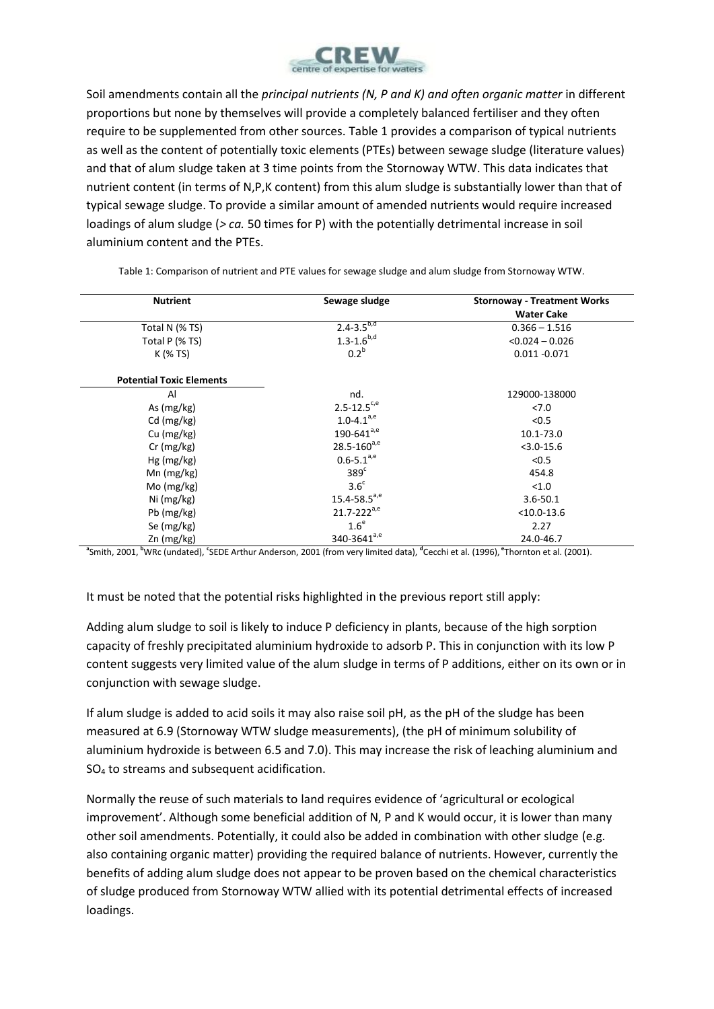

Soil amendments contain all the *principal nutrients (N, P and K) and often organic matter* in different proportions but none by themselves will provide a completely balanced fertiliser and they often require to be supplemented from other sources. Table 1 provides a comparison of typical nutrients as well as the content of potentially toxic elements (PTEs) between sewage sludge (literature values) and that of alum sludge taken at 3 time points from the Stornoway WTW. This data indicates that nutrient content (in terms of N,P,K content) from this alum sludge is substantially lower than that of typical sewage sludge. To provide a similar amount of amended nutrients would require increased loadings of alum sludge (*> ca.* 50 times for P) with the potentially detrimental increase in soil aluminium content and the PTEs.

| <b>Nutrient</b>                 | Sewage sludge                | <b>Stornoway - Treatment Works</b> |
|---------------------------------|------------------------------|------------------------------------|
|                                 |                              | <b>Water Cake</b>                  |
| Total N (% TS)                  | $2.4 - 3.5^{b,d}$            | $0.366 - 1.516$                    |
| Total P (% TS)                  | $1.3 - 1.6^{b,d}$            | $< 0.024 - 0.026$                  |
| K (% TS)                        | 0.2 <sup>b</sup>             | $0.011 - 0.071$                    |
| <b>Potential Toxic Elements</b> |                              |                                    |
| Al                              | nd.                          | 129000-138000                      |
| As (mg/kg)                      | $2.5 - 12.5$ <sup>c,e</sup>  | 27.0                               |
| $Cd$ (mg/kg)                    | $1.0 - 4.1^{a,e}$            | < 0.5                              |
| Cu (mg/kg)                      | $190 - 641^{a,e}$            | 10.1-73.0                          |
| $Cr$ (mg/kg)                    | $28.5 - 160^{a,e}$           | $<$ 3.0-15.6                       |
| $Hg$ (mg/kg)                    | $0.6 - 5.1^{a,e}$            | < 0.5                              |
| Mn $(mg/kg)$                    | 389 <sup>c</sup>             | 454.8                              |
| Mo (mg/kg)                      | 3.6 <sup>c</sup>             | < 1.0                              |
| Ni (mg/kg)                      | $15.4 - 58.5$ <sup>a,e</sup> | $3.6 - 50.1$                       |
| Pb (mg/kg)                      | $21.7 - 222^{a,e}$           | $< 10.0 - 13.6$                    |
| Se (mg/kg)                      | 1.6 <sup>e</sup>             | 2.27                               |
| Zn (mg/kg)                      | 340-3641 <sup>a,e</sup>      | 24.0-46.7                          |

Table 1: Comparison of nutrient and PTE values for sewage sludge and alum sludge from Stornoway WTW.

<sup>a</sup> Smith, 2001, <sup>b</sup>WRc (undated), 'SEDE Arthur Anderson, 2001 (from very limited data), <sup>a</sup>Cecchi et al. (1996), <sup>e</sup> Thornton et al. (2001).

It must be noted that the potential risks highlighted in the previous report still apply:

Adding alum sludge to soil is likely to induce P deficiency in plants, because of the high sorption capacity of freshly precipitated aluminium hydroxide to adsorb P. This in conjunction with its low P content suggests very limited value of the alum sludge in terms of P additions, either on its own or in conjunction with sewage sludge.

If alum sludge is added to acid soils it may also raise soil pH, as the pH of the sludge has been measured at 6.9 (Stornoway WTW sludge measurements), (the pH of minimum solubility of aluminium hydroxide is between 6.5 and 7.0). This may increase the risk of leaching aluminium and SO<sup>4</sup> to streams and subsequent acidification.

Normally the reuse of such materials to land requires evidence of 'agricultural or ecological improvement'. Although some beneficial addition of N, P and K would occur, it is lower than many other soil amendments. Potentially, it could also be added in combination with other sludge (e.g. also containing organic matter) providing the required balance of nutrients. However, currently the benefits of adding alum sludge does not appear to be proven based on the chemical characteristics of sludge produced from Stornoway WTW allied with its potential detrimental effects of increased loadings.